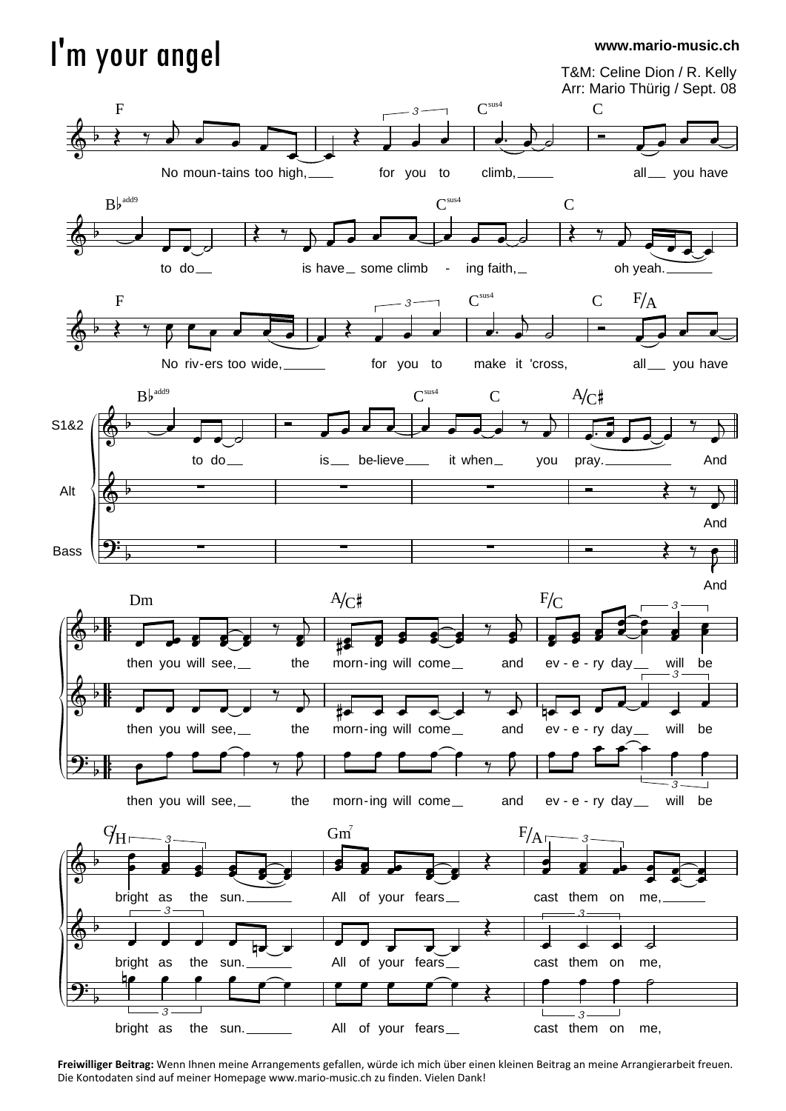## I'm your angel

## **www.mario-music.ch**





**Freiwilliger Beitrag:** Wenn Ihnen meine Arrangements gefallen, würde ich mich über einen kleinen Beitrag an meine Arrangierarbeit freuen. Die Kontodaten sind auf meiner Homepage www.mario-music.ch zu finden. Vielen Dank!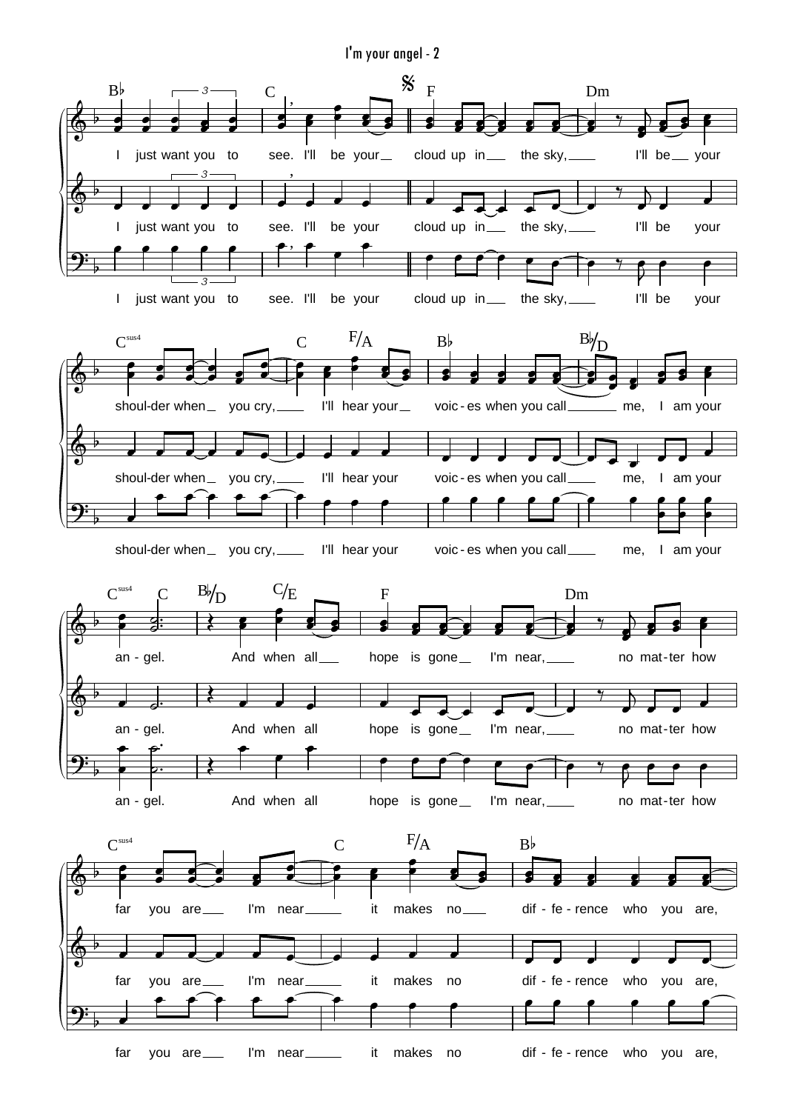I'm your angel - 2

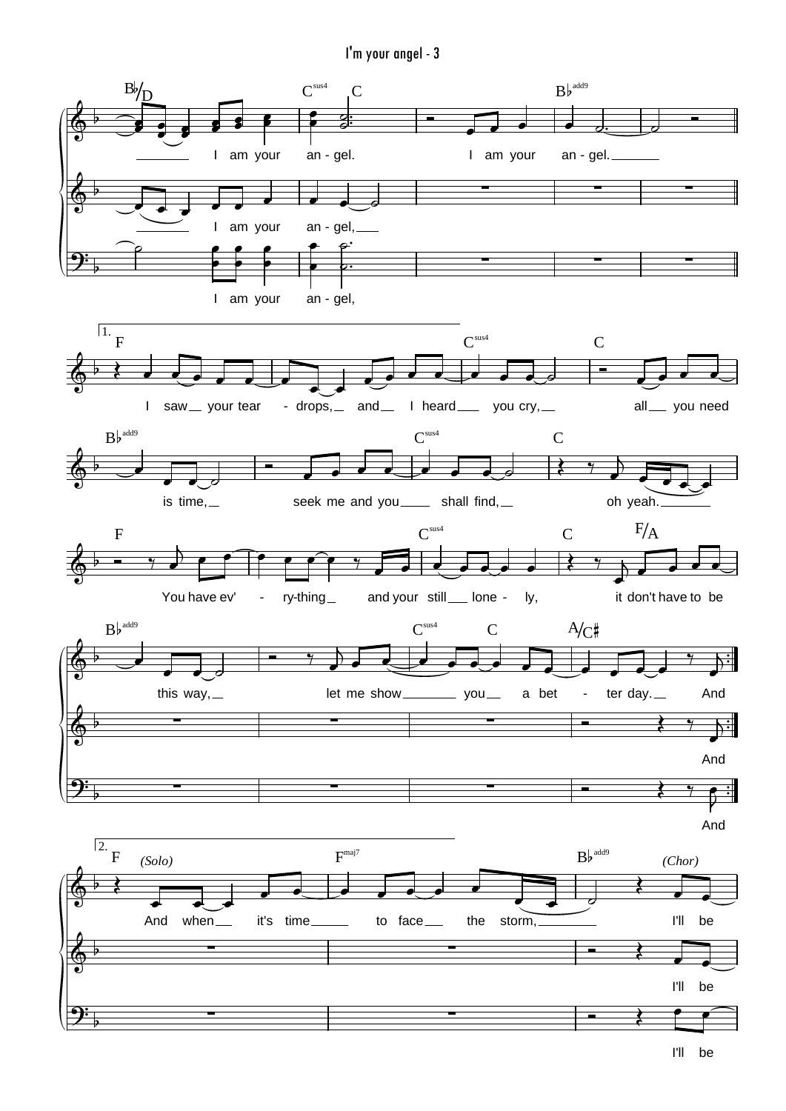I'm your angel - 3